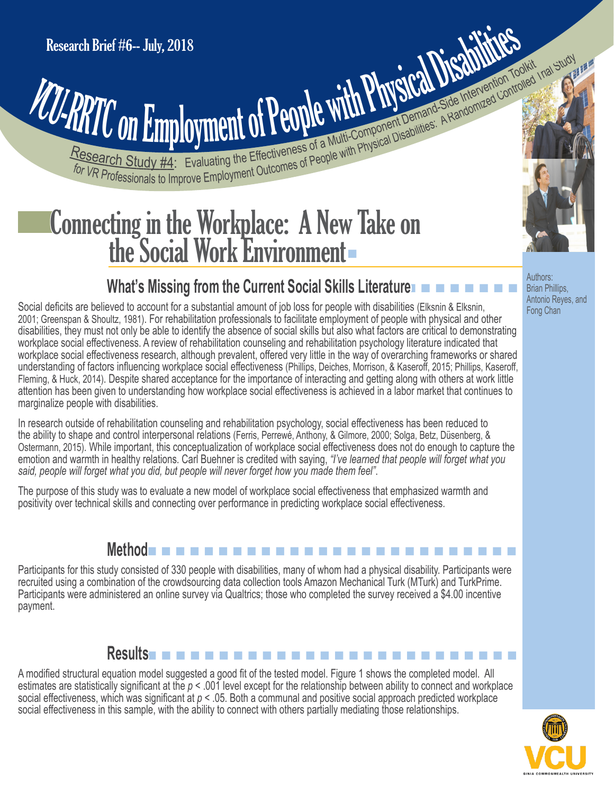# **PRITCON Employment of People with Physical Disabilities: A Randomized Controlled Intervention Toolkid Institute State Intervention Toolkid Institute State Intervention Toolkid Institute State Intervention Toolkid Institut** Research Brief #6-- July, 2018<br>
VCU-RRTC ON Employment of People with Physical Disabilities: A Randomized Control

## Connecting in the Workplace: A New Take on<br>the Social Work Environment

### **What's Missing from the Current Social Skills Literature**  $\blacksquare$  $\blacksquare$  $\blacksquare$  $\blacksquare$  $\blacksquare$   $\blacksquare$   $\blacksquare$

Social deficits are believed to account for a substantial amount of job loss for people with disabilities (Elksnin & Elksnin, 2001; Greenspan & Shoultz, 1981). For rehabilitation professionals to facilitate employment of people with physical and other disabilities, they must not only be able to identify the absence of social skills but also what factors are critical to demonstrating workplace social effectiveness. A review of rehabilitation counseling and rehabilitation psychology literature indicated that workplace social effectiveness research, although prevalent, offered very little in the way of overarching frameworks or shared understanding of factors influencing workplace social effectiveness (Phillips, Deiches, Morrison, & Kaseroff, 2015; Phillips, Kaseroff, Fleming, & Huck, 2014). Despite shared acceptance for the importance of interacting and getting along with others at work little attention has been given to understanding how workplace social effectiveness is achieved in a labor market that continues to marginalize people with disabilities.

In research outside of rehabilitation counseling and rehabilitation psychology, social effectiveness has been reduced to the ability to shape and control interpersonal relations (Ferris, Perrewé, Anthony, & Gilmore, 2000; Solga, Betz, Düsenberg, & Ostermann, 2015). While important, this conceptualization of workplace social effectiveness does not do enough to capture the emotion and warmth in healthy relations. Carl Buehner is credited with saying, *"I've learned that people will forget what you said, people will forget what you did, but people will never forget how you made them feel"*.

The purpose of this study was to evaluate a new model of workplace social effectiveness that emphasized warmth and positivity over technical skills and connecting over performance in predicting workplace social effectiveness.

#### **Method** n n n n n n n n n n n n n n n n n n n n n n n n n n

Participants for this study consisted of 330 people with disabilities, many of whom had a physical disability. Participants were recruited using a combination of the crowdsourcing data collection tools Amazon Mechanical Turk (MTurk) and TurkPrime. Participants were administered an online survey via Qualtrics; those who completed the survey received a \$4.00 incentive payment.

#### **Results n n n n n n n n n n n n**

A modified structural equation model suggested a good fit of the tested model. Figure 1 shows the completed model. All estimates are statistically significant at the *p* < .001 level except for the relationship between ability to connect and workplace social effectiveness, which was significant at *p* < .05. Both a communal and positive social approach predicted workplace social effectiveness in this sample, with the ability to connect with others partially mediating those relationships.